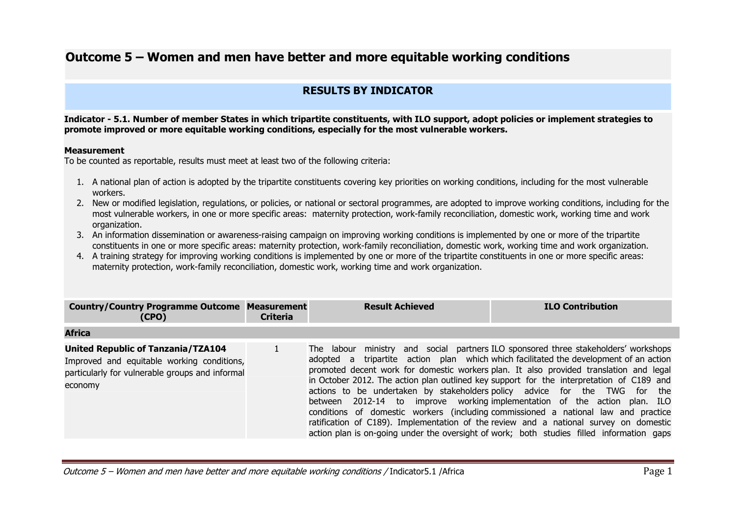# **Outcome 5 – Women and men have better and more equitable working conditions**

## **RESULTS BY INDICATOR**

#### **Indicator - 5.1. Number of member States in which tripartite constituents, with ILO support, adopt policies or implement strategies to promote improved or more equitable working conditions, especially for the most vulnerable workers.**

#### **Measurement**

To be counted as reportable, results must meet at least two of the following criteria:

- 1. A national plan of action is adopted by the tripartite constituents covering key priorities on working conditions, including for the most vulnerable workers.
- 2. New or modified legislation, regulations, or policies, or national or sectoral programmes, are adopted to improve working conditions, including for the most vulnerable workers, in one or more specific areas: maternity protection, work-family reconciliation, domestic work, working time and work organization.
- 3. An information dissemination or awareness-raising campaign on improving working conditions is implemented by one or more of the tripartite constituents in one or more specific areas: maternity protection, work-family reconciliation, domestic work, working time and work organization.
- 4. A training strategy for improving working conditions is implemented by one or more of the tripartite constituents in one or more specific areas: maternity protection, work-family reconciliation, domestic work, working time and work organization.

| <b>Country/Country Programme Outcome Measurement</b><br>(CPO)                                                                                         | <b>Criteria</b> | <b>Result Achieved</b>                                                                                                                                                                                                                                                                                                                                                                                                                                                                                                                                                                                                                                                                                                                                                                                    | <b>ILO Contribution</b> |
|-------------------------------------------------------------------------------------------------------------------------------------------------------|-----------------|-----------------------------------------------------------------------------------------------------------------------------------------------------------------------------------------------------------------------------------------------------------------------------------------------------------------------------------------------------------------------------------------------------------------------------------------------------------------------------------------------------------------------------------------------------------------------------------------------------------------------------------------------------------------------------------------------------------------------------------------------------------------------------------------------------------|-------------------------|
| <b>Africa</b>                                                                                                                                         |                 |                                                                                                                                                                                                                                                                                                                                                                                                                                                                                                                                                                                                                                                                                                                                                                                                           |                         |
| <b>United Republic of Tanzania/TZA104</b><br>Improved and equitable working conditions,<br>particularly for vulnerable groups and informal<br>economy |                 | The labour ministry and social partners ILO sponsored three stakeholders' workshops<br>adopted a tripartite action plan which which facilitated the development of an action<br>promoted decent work for domestic workers plan. It also provided translation and legal<br>in October 2012. The action plan outlined key support for the interpretation of C189 and<br>actions to be undertaken by stakeholders policy advice for the TWG for the<br>between 2012-14 to improve working implementation of the action plan. ILO<br>conditions of domestic workers (including commissioned a national law and practice<br>ratification of C189). Implementation of the review and a national survey on domestic<br>action plan is on-going under the oversight of work; both studies filled information gaps |                         |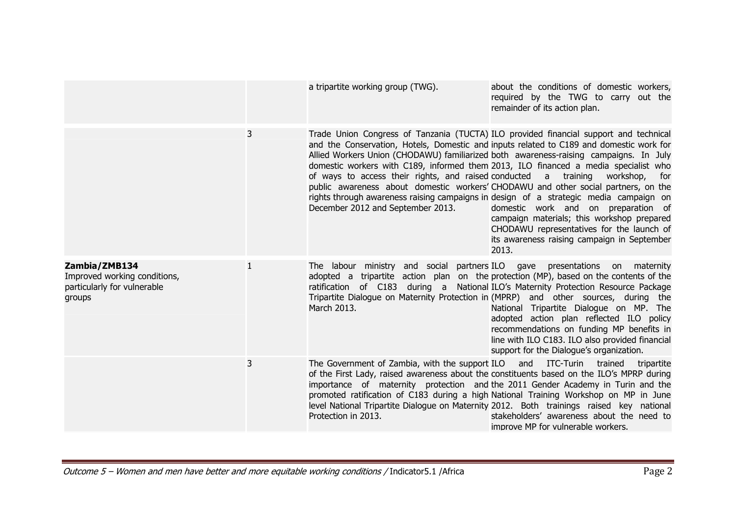|                                                                                        |              | a tripartite working group (TWG).                                                                    | about the conditions of domestic workers,<br>required by the TWG to carry out the<br>remainder of its action plan.                                                                                                                                                                                                                                                                                                                                                                                                                                                                                                                                                                                                                                         |
|----------------------------------------------------------------------------------------|--------------|------------------------------------------------------------------------------------------------------|------------------------------------------------------------------------------------------------------------------------------------------------------------------------------------------------------------------------------------------------------------------------------------------------------------------------------------------------------------------------------------------------------------------------------------------------------------------------------------------------------------------------------------------------------------------------------------------------------------------------------------------------------------------------------------------------------------------------------------------------------------|
|                                                                                        | 3            | of ways to access their rights, and raised conducted a training<br>December 2012 and September 2013. | Trade Union Congress of Tanzania (TUCTA) ILO provided financial support and technical<br>and the Conservation, Hotels, Domestic and inputs related to C189 and domestic work for<br>Allied Workers Union (CHODAWU) familiarized both awareness-raising campaigns. In July<br>domestic workers with C189, informed them 2013, ILO financed a media specialist who<br>workshop, for<br>public awareness about domestic workers' CHODAWU and other social partners, on the<br>rights through awareness raising campaigns in design of a strategic media campaign on<br>domestic work and on preparation of<br>campaign materials; this workshop prepared<br>CHODAWU representatives for the launch of<br>its awareness raising campaign in September<br>2013. |
| Zambia/ZMB134<br>Improved working conditions,<br>particularly for vulnerable<br>groups | $\mathbf{1}$ | The labour ministry and social partners ILO<br>March 2013.                                           | presentations on<br>gave<br>maternity<br>adopted a tripartite action plan on the protection (MP), based on the contents of the<br>ratification of C183 during a National ILO's Maternity Protection Resource Package<br>Tripartite Dialogue on Maternity Protection in (MPRP) and other sources, during the<br>National Tripartite Dialogue on MP. The<br>adopted action plan reflected ILO policy<br>recommendations on funding MP benefits in<br>line with ILO C183. ILO also provided financial<br>support for the Dialogue's organization.                                                                                                                                                                                                             |
|                                                                                        | 3            | The Government of Zambia, with the support ILO and ITC-Turin trained<br>Protection in 2013.          | tripartite<br>of the First Lady, raised awareness about the constituents based on the ILO's MPRP during<br>importance of maternity protection and the 2011 Gender Academy in Turin and the<br>promoted ratification of C183 during a high National Training Workshop on MP in June<br>level National Tripartite Dialogue on Maternity 2012. Both trainings raised key national<br>stakeholders' awareness about the need to<br>improve MP for vulnerable workers.                                                                                                                                                                                                                                                                                          |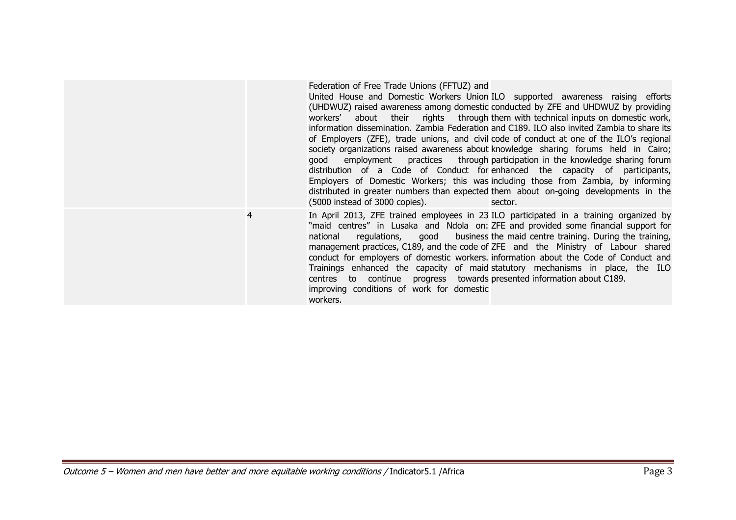### Federation of Free Trade Unions (FFTUZ) and

 United House and Domestic Workers Union ILO supported awareness raising efforts (UHDWUZ) raised awareness among domestic conducted by ZFE and UHDWUZ by providing workers' about their rights through them with technical inputs on domestic work, information dissemination. Zambia Federation and C189. ILO also invited Zambia to share its of Employers (ZFE), trade unions, and civil code of conduct at one of the ILO's regionalsociety organizations raised awareness about knowledge sharing forums held in Cairo; good employment practices through participation in the knowledge sharing forum distribution of a Code of Conduct for enhanced the capacity of participants, Employers of Domestic Workers; this was including those from Zambia, by informing distributed in greater numbers than expected them about on-going developments in the (5000 instead of 3000 copies). sector.

4 In April 2013, ZFE trained employees in 23 ILO participated in a training organized by "maid centres" in Lusaka and Ndola on: ZFE and provided some financial support for the maid centre training. During the training,national regulations, good management practices, C189, and the code of ZFE and the Ministry of Labour shared conduct for employers of domestic workers. information about the Code of Conduct and Trainings enhanced the capacity of maid statutory mechanisms in place, the ILO centres to continue progress towards presented information about C189. improving conditions of work for domestic workers.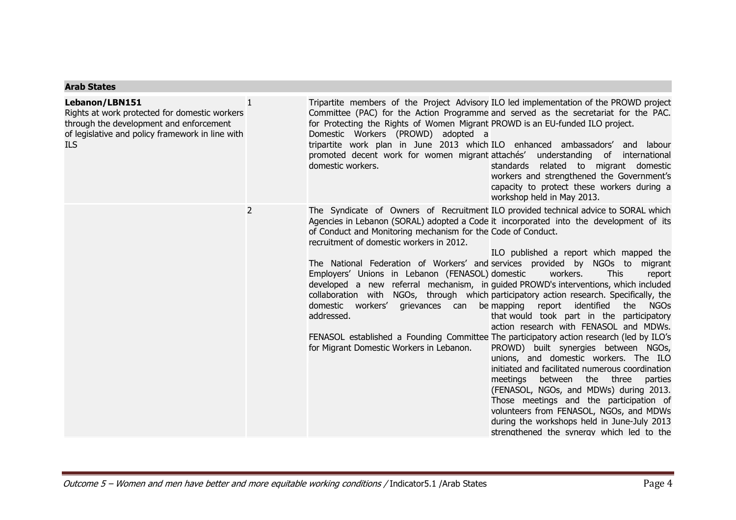| пы и осисо                                                                                                                                                            |                |                                                                                                                                                                                                                                                                                                                                                                                                                                                                                                                                                                                                                                                                                                                                                                                                  |                                                                                                                                                                                                                                                                                                                                                                                                                                                                                                                                                                                                                                           |
|-----------------------------------------------------------------------------------------------------------------------------------------------------------------------|----------------|--------------------------------------------------------------------------------------------------------------------------------------------------------------------------------------------------------------------------------------------------------------------------------------------------------------------------------------------------------------------------------------------------------------------------------------------------------------------------------------------------------------------------------------------------------------------------------------------------------------------------------------------------------------------------------------------------------------------------------------------------------------------------------------------------|-------------------------------------------------------------------------------------------------------------------------------------------------------------------------------------------------------------------------------------------------------------------------------------------------------------------------------------------------------------------------------------------------------------------------------------------------------------------------------------------------------------------------------------------------------------------------------------------------------------------------------------------|
| Lebanon/LBN151<br>Rights at work protected for domestic workers<br>through the development and enforcement<br>of legislative and policy framework in line with<br>ILS | $\mathbf{1}$   | Tripartite members of the Project Advisory ILO led implementation of the PROWD project<br>Committee (PAC) for the Action Programme and served as the secretariat for the PAC.<br>for Protecting the Rights of Women Migrant PROWD is an EU-funded ILO project.<br>Domestic Workers (PROWD) adopted a<br>tripartite work plan in June 2013 which ILO enhanced ambassadors' and labour<br>promoted decent work for women migrant attachés' understanding<br>domestic workers.                                                                                                                                                                                                                                                                                                                      | international<br>of<br>standards related to migrant domestic<br>workers and strengthened the Government's<br>capacity to protect these workers during a<br>workshop held in May 2013.                                                                                                                                                                                                                                                                                                                                                                                                                                                     |
|                                                                                                                                                                       | $\overline{2}$ | The Syndicate of Owners of Recruitment ILO provided technical advice to SORAL which<br>Agencies in Lebanon (SORAL) adopted a Code it incorporated into the development of its<br>of Conduct and Monitoring mechanism for the Code of Conduct.<br>recruitment of domestic workers in 2012.<br>The National Federation of Workers' and services provided by NGOs to<br>Employers' Unions in Lebanon (FENASOL) domestic<br>developed a new referral mechanism, in guided PROWD's interventions, which included<br>collaboration with NGOs, through which participatory action research. Specifically, the<br>domestic workers' grievances can<br>addressed.<br>FENASOL established a Founding Committee The participatory action research (led by ILO's<br>for Migrant Domestic Workers in Lebanon. | ILO published a report which mapped the<br>migrant<br>workers.<br><b>This</b><br>report<br>be mapping report identified<br>NGOs<br>the<br>that would took part in the participatory<br>action research with FENASOL and MDWs.<br>PROWD) built synergies between NGOs,<br>unions, and domestic workers. The ILO<br>initiated and facilitated numerous coordination<br>meetings between<br>the three<br>parties<br>(FENASOL, NGOs, and MDWs) during 2013.<br>Those meetings and the participation of<br>volunteers from FENASOL, NGOs, and MDWs<br>during the workshops held in June-July 2013<br>strengthened the synergy which led to the |

**Arab States**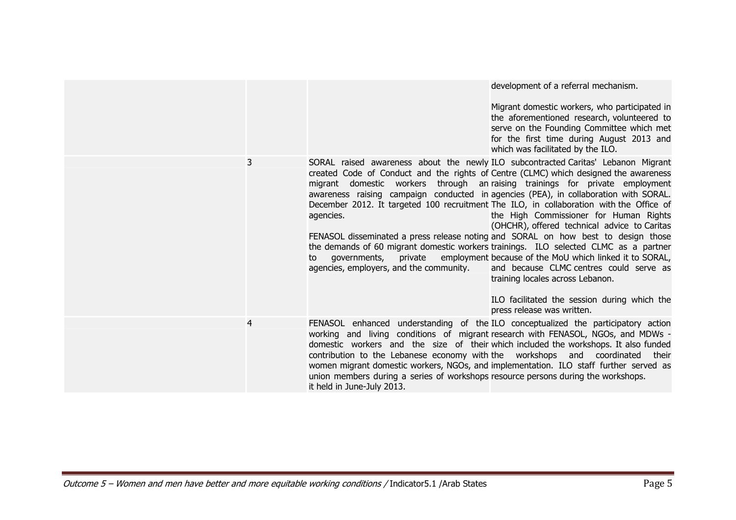|                | development of a referral mechanism.<br>Migrant domestic workers, who participated in<br>the aforementioned research, volunteered to<br>serve on the Founding Committee which met<br>for the first time during August 2013 and<br>which was facilitated by the ILO.                                                                                                                                                                                                                                                                                                                                                                                                                                                                                                                                                                                                                                                                                                                                                            |
|----------------|--------------------------------------------------------------------------------------------------------------------------------------------------------------------------------------------------------------------------------------------------------------------------------------------------------------------------------------------------------------------------------------------------------------------------------------------------------------------------------------------------------------------------------------------------------------------------------------------------------------------------------------------------------------------------------------------------------------------------------------------------------------------------------------------------------------------------------------------------------------------------------------------------------------------------------------------------------------------------------------------------------------------------------|
| 3              | SORAL raised awareness about the newly ILO subcontracted Caritas' Lebanon Migrant<br>created Code of Conduct and the rights of Centre (CLMC) which designed the awareness<br>migrant domestic workers through an-raising trainings for private employment<br>awareness raising campaign conducted in agencies (PEA), in collaboration with SORAL.<br>December 2012. It targeted 100 recruitment The ILO, in collaboration with the Office of<br>the High Commissioner for Human Rights<br>agencies.<br>(OHCHR), offered technical advice to Caritas<br>FENASOL disseminated a press release noting and SORAL on how best to design those<br>the demands of 60 migrant domestic workers trainings. ILO selected CLMC as a partner<br>governments, private employment because of the MoU which linked it to SORAL,<br>to<br>agencies, employers, and the community.<br>and because CLMC centres could serve as<br>training locales across Lebanon.<br>ILO facilitated the session during which the<br>press release was written. |
| $\overline{4}$ | FENASOL enhanced understanding of the ILO conceptualized the participatory action<br>working and living conditions of migrant research with FENASOL, NGOs, and MDWs -<br>domestic workers and the size of their which included the workshops. It also funded<br>contribution to the Lebanese economy with the workshops<br>and<br>coordinated<br>their<br>women migrant domestic workers, NGOs, and implementation. ILO staff further served as<br>union members during a series of workshops resource persons during the workshops.<br>it held in June-July 2013.                                                                                                                                                                                                                                                                                                                                                                                                                                                             |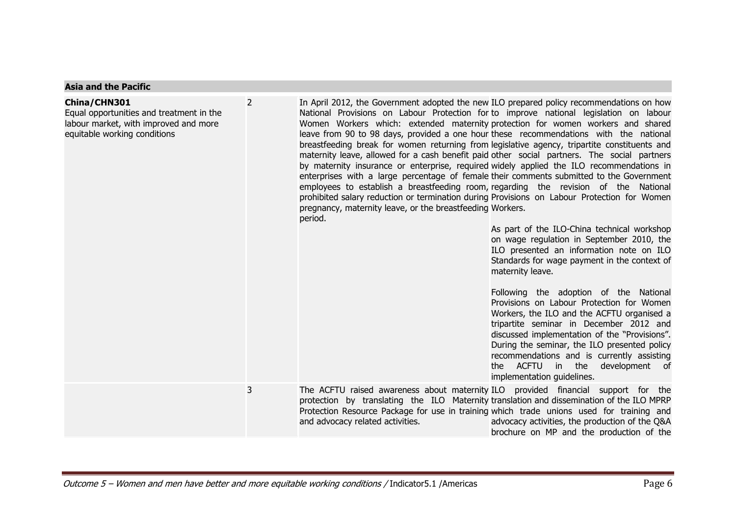| <b>Asia and the Pacific</b>                                                                                                       |                |                                                                                                                                                                                                                                                                                                                                                                                                                                                                                                                                                                                                                                                                                                                                                                                                                                                                                                                                                                                                                     |                                                                                                                                                                                                                                                                                                                                                                                                                                                                                                                                                                                                                |
|-----------------------------------------------------------------------------------------------------------------------------------|----------------|---------------------------------------------------------------------------------------------------------------------------------------------------------------------------------------------------------------------------------------------------------------------------------------------------------------------------------------------------------------------------------------------------------------------------------------------------------------------------------------------------------------------------------------------------------------------------------------------------------------------------------------------------------------------------------------------------------------------------------------------------------------------------------------------------------------------------------------------------------------------------------------------------------------------------------------------------------------------------------------------------------------------|----------------------------------------------------------------------------------------------------------------------------------------------------------------------------------------------------------------------------------------------------------------------------------------------------------------------------------------------------------------------------------------------------------------------------------------------------------------------------------------------------------------------------------------------------------------------------------------------------------------|
| China/CHN301<br>Equal opportunities and treatment in the<br>labour market, with improved and more<br>equitable working conditions | $\overline{2}$ | In April 2012, the Government adopted the new ILO prepared policy recommendations on how<br>National Provisions on Labour Protection for to improve national legislation on labour<br>Women Workers which: extended maternity protection for women workers and shared<br>leave from 90 to 98 days, provided a one hour these recommendations with the national<br>breastfeeding break for women returning from legislative agency, tripartite constituents and<br>maternity leave, allowed for a cash benefit paid other social partners. The social partners<br>by maternity insurance or enterprise, required widely applied the ILO recommendations in<br>enterprises with a large percentage of female their comments submitted to the Government<br>employees to establish a breastfeeding room, regarding the revision of the National<br>prohibited salary reduction or termination during Provisions on Labour Protection for Women<br>pregnancy, maternity leave, or the breastfeeding Workers.<br>period. | As part of the ILO-China technical workshop<br>on wage regulation in September 2010, the<br>ILO presented an information note on ILO<br>Standards for wage payment in the context of<br>maternity leave.<br>Following the adoption of the National<br>Provisions on Labour Protection for Women<br>Workers, the ILO and the ACFTU organised a<br>tripartite seminar in December 2012 and<br>discussed implementation of the "Provisions".<br>During the seminar, the ILO presented policy<br>recommendations and is currently assisting<br>ACFTU in the<br>development of<br>the<br>implementation guidelines. |
|                                                                                                                                   | 3              | The ACFTU raised awareness about maternity ILO provided financial support for the<br>protection by translating the ILO Maternity translation and dissemination of the ILO MPRP<br>Protection Resource Package for use in training which trade unions used for training and<br>and advocacy related activities.                                                                                                                                                                                                                                                                                                                                                                                                                                                                                                                                                                                                                                                                                                      | advocacy activities, the production of the Q&A<br>brochure on MP and the production of the                                                                                                                                                                                                                                                                                                                                                                                                                                                                                                                     |
|                                                                                                                                   |                |                                                                                                                                                                                                                                                                                                                                                                                                                                                                                                                                                                                                                                                                                                                                                                                                                                                                                                                                                                                                                     |                                                                                                                                                                                                                                                                                                                                                                                                                                                                                                                                                                                                                |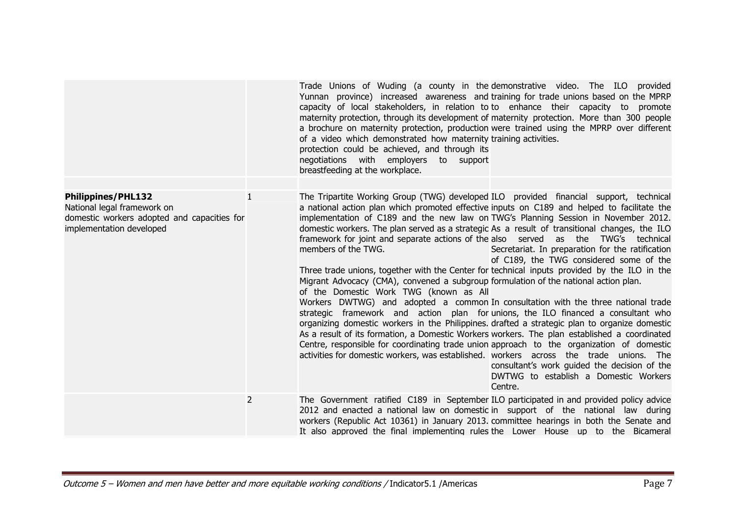|                                                                                                                                     |                | Trade Unions of Wuding (a county in the demonstrative video. The ILO provided<br>Yunnan province) increased awareness and training for trade unions based on the MPRP<br>capacity of local stakeholders, in relation to to enhance their capacity to promote<br>maternity protection, through its development of maternity protection. More than 300 people<br>a brochure on maternity protection, production were trained using the MPRP over different<br>of a video which demonstrated how maternity training activities.<br>protection could be achieved, and through its<br>with employers to support<br>negotiations<br>breastfeeding at the workplace.                                                                                                                                                                                                                                                                                                                                                                                                                                                                                                                                                                                                                                                                                                                                                                                                                                       |
|-------------------------------------------------------------------------------------------------------------------------------------|----------------|-----------------------------------------------------------------------------------------------------------------------------------------------------------------------------------------------------------------------------------------------------------------------------------------------------------------------------------------------------------------------------------------------------------------------------------------------------------------------------------------------------------------------------------------------------------------------------------------------------------------------------------------------------------------------------------------------------------------------------------------------------------------------------------------------------------------------------------------------------------------------------------------------------------------------------------------------------------------------------------------------------------------------------------------------------------------------------------------------------------------------------------------------------------------------------------------------------------------------------------------------------------------------------------------------------------------------------------------------------------------------------------------------------------------------------------------------------------------------------------------------------|
| <b>Philippines/PHL132</b><br>National legal framework on<br>domestic workers adopted and capacities for<br>implementation developed | $\mathbf{1}$   | The Tripartite Working Group (TWG) developed ILO provided financial support, technical<br>a national action plan which promoted effective inputs on C189 and helped to facilitate the<br>implementation of C189 and the new law on TWG's Planning Session in November 2012.<br>domestic workers. The plan served as a strategic As a result of transitional changes, the ILO<br>framework for joint and separate actions of the also served<br>as the TWG's technical<br>members of the TWG.<br>Secretariat. In preparation for the ratification<br>of C189, the TWG considered some of the<br>Three trade unions, together with the Center for technical inputs provided by the ILO in the<br>Migrant Advocacy (CMA), convened a subgroup formulation of the national action plan.<br>of the Domestic Work TWG (known as All<br>Workers DWTWG) and adopted a common In consultation with the three national trade<br>strategic framework and action plan for unions, the ILO financed a consultant who<br>organizing domestic workers in the Philippines. drafted a strategic plan to organize domestic<br>As a result of its formation, a Domestic Workers workers. The plan established a coordinated<br>Centre, responsible for coordinating trade union approach to the organization of domestic<br>activities for domestic workers, was established. workers across the trade unions. The<br>consultant's work guided the decision of the<br>DWTWG to establish a Domestic Workers<br>Centre. |
|                                                                                                                                     | $\overline{2}$ | The Government ratified C189 in September ILO participated in and provided policy advice<br>2012 and enacted a national law on domestic in support of the national law during<br>workers (Republic Act 10361) in January 2013. committee hearings in both the Senate and<br>It also approved the final implementing rules the Lower House up to the Bicameral                                                                                                                                                                                                                                                                                                                                                                                                                                                                                                                                                                                                                                                                                                                                                                                                                                                                                                                                                                                                                                                                                                                                       |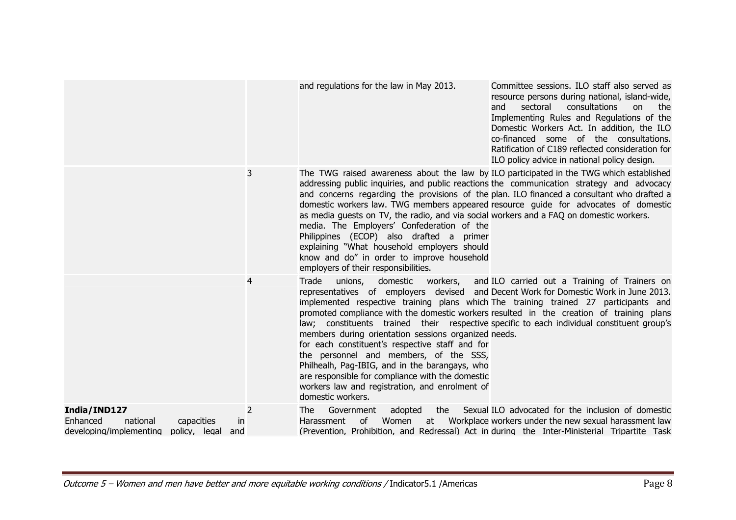|                                                                                                             |                | and regulations for the law in May 2013.                                                                                                                                                                                                                                                                                                                                                                                                                                                                                                                                                                                                                                                                                                             | Committee sessions. ILO staff also served as<br>resource persons during national, island-wide,<br>and<br>sectoral<br>consultations<br>on<br>the<br>Implementing Rules and Regulations of the<br>Domestic Workers Act. In addition, the ILO<br>co-financed some of the consultations.<br>Ratification of C189 reflected consideration for<br>ILO policy advice in national policy design. |
|-------------------------------------------------------------------------------------------------------------|----------------|------------------------------------------------------------------------------------------------------------------------------------------------------------------------------------------------------------------------------------------------------------------------------------------------------------------------------------------------------------------------------------------------------------------------------------------------------------------------------------------------------------------------------------------------------------------------------------------------------------------------------------------------------------------------------------------------------------------------------------------------------|------------------------------------------------------------------------------------------------------------------------------------------------------------------------------------------------------------------------------------------------------------------------------------------------------------------------------------------------------------------------------------------|
|                                                                                                             | 3              | The TWG raised awareness about the law by ILO participated in the TWG which established<br>addressing public inquiries, and public reactions the communication strategy and advocacy<br>and concerns regarding the provisions of the plan. ILO financed a consultant who drafted a<br>domestic workers law. TWG members appeared resource guide for advocates of domestic<br>as media guests on TV, the radio, and via social workers and a FAQ on domestic workers.<br>media. The Employers' Confederation of the<br>Philippines (ECOP) also drafted a primer<br>explaining "What household employers should<br>know and do" in order to improve household<br>employers of their responsibilities.                                                  |                                                                                                                                                                                                                                                                                                                                                                                          |
|                                                                                                             | $\overline{4}$ | Trade<br>domestic<br>workers,<br>unions,<br>representatives of employers devised and Decent Work for Domestic Work in June 2013.<br>implemented respective training plans which The training trained 27 participants and<br>promoted compliance with the domestic workers resulted in the creation of training plans<br>law; constituents trained their respective specific to each individual constituent group's<br>members during orientation sessions organized needs.<br>for each constituent's respective staff and for<br>the personnel and members, of the SSS,<br>Philhealh, Pag-IBIG, and in the barangays, who<br>are responsible for compliance with the domestic<br>workers law and registration, and enrolment of<br>domestic workers. | and ILO carried out a Training of Trainers on                                                                                                                                                                                                                                                                                                                                            |
| India/IND127<br>Enhanced<br>national<br>capacities<br>in<br>developing/implementing<br>policy, legal<br>and | $\overline{2}$ | The<br>Government<br>adopted<br>the<br>Women<br><b>Harassment</b><br>of l<br>(Prevention, Prohibition, and Redressal) Act in during the Inter-Ministerial Tripartite Task                                                                                                                                                                                                                                                                                                                                                                                                                                                                                                                                                                            | Sexual ILO advocated for the inclusion of domestic<br>at Workplace workers under the new sexual harassment law                                                                                                                                                                                                                                                                           |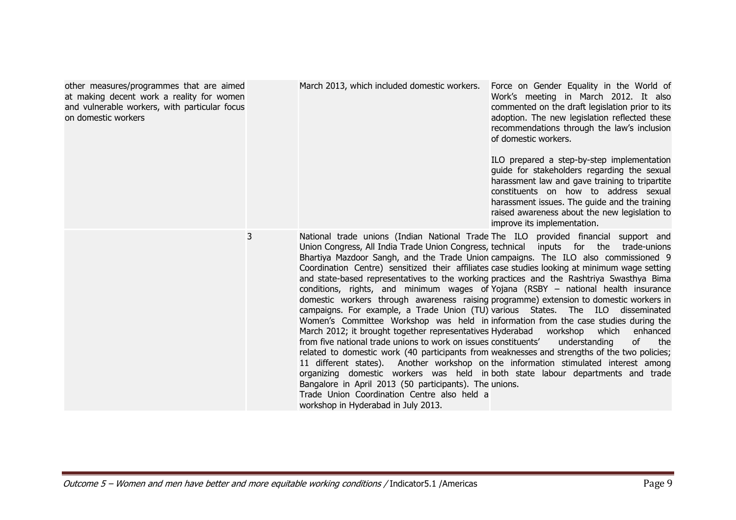other measures/programmes that are aimed at making decent work a reality for women and vulnerable workers, with particular focus on domestic workers

March 2013, which included domestic workers. Force on Gender Equality in the World of Work's meeting in March 2012. It also commented on the draft legislation prior to its adoption. The new legislation reflected these recommendations through the law's inclusion of domestic workers.

> ILO prepared a step-by-step implementation guide for stakeholders regarding the sexual harassment law and gave training to tripartite constituents on how to address sexual harassment issues. The guide and the training raised awareness about the new legislation to improve its implementation.

3 National trade unions (Indian National Trade The ILO provided financial support and Union Congress, All India Trade Union Congress, technical inputs for the trade-unions Bhartiya Mazdoor Sangh, and the Trade Union campaigns. The ILO also commissioned 9 Coordination Centre) sensitized their affiliates case studies looking at minimum wage setting and state-based representatives to the working practices and the Rashtriya Swasthya Bima conditions, rights, and minimum wages of Yojana (RSBY – national health insurance domestic workers through awareness raising programme) extension to domestic workers in campaigns. For example, a Trade Union (TU) various States. The ILO disseminated Women's Committee Workshop was held in information from the case studies during the March 2012; it brought together representatives Hyderabad workshop which enhanced from five national trade unions to work on issues related to domestic work (40 participants from weaknesses and strengths of the two policies; 11 different states). Another workshop on the information stimulated interest among organizing domestic workers was held in both state labour departments and trade Bangalore in April 2013 (50 participants). The unions. Trade Union Coordination Centre also held a workshop in Hyderabad in July 2013. the understanding of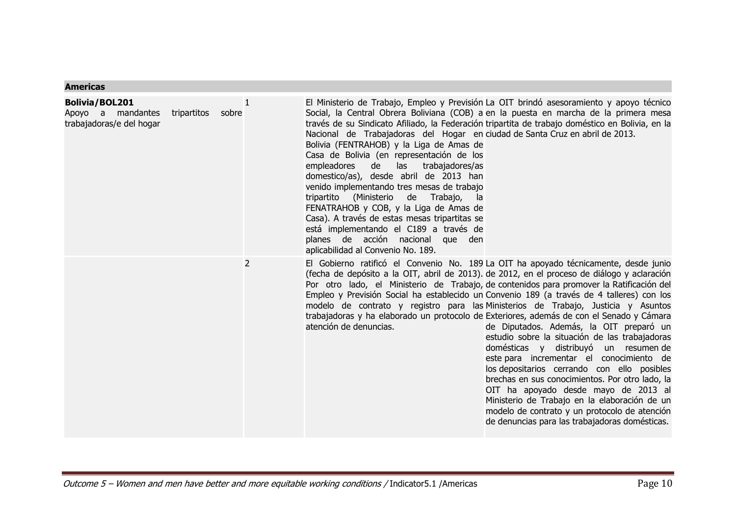## **Americas**

| <b>Bolivia/BOL201</b><br>Apoyo a mandantes<br>tripartitos<br>trabajadoras/e del hogar | 1<br>sobre     | El Ministerio de Trabajo, Empleo y Previsión La OIT brindó asesoramiento y apoyo técnico<br>Social, la Central Obrera Boliviana (COB) a en la puesta en marcha de la primera mesa<br>través de su Sindicato Afiliado, la Federación tripartita de trabajo doméstico en Bolivia, en la<br>Nacional de Trabajadoras del Hogar en ciudad de Santa Cruz en abril de 2013.<br>Bolivia (FENTRAHOB) y la Liga de Amas de<br>Casa de Bolivia (en representación de los<br>empleadores de las<br>trabajadores/as<br>domestico/as), desde abril de 2013 han<br>venido implementando tres mesas de trabajo<br>tripartito (Ministerio<br>de Trabajo,<br>- la<br>FENATRAHOB y COB, y la Liga de Amas de<br>Casa). A través de estas mesas tripartitas se<br>está implementando el C189 a través de<br>planes de acción nacional que den<br>aplicabilidad al Convenio No. 189.                                                                                                                                                                                                        |
|---------------------------------------------------------------------------------------|----------------|-------------------------------------------------------------------------------------------------------------------------------------------------------------------------------------------------------------------------------------------------------------------------------------------------------------------------------------------------------------------------------------------------------------------------------------------------------------------------------------------------------------------------------------------------------------------------------------------------------------------------------------------------------------------------------------------------------------------------------------------------------------------------------------------------------------------------------------------------------------------------------------------------------------------------------------------------------------------------------------------------------------------------------------------------------------------------|
|                                                                                       | $\overline{2}$ | El Gobierno ratificó el Convenio No. 189 La OIT ha apoyado técnicamente, desde junio<br>(fecha de depósito a la OIT, abril de 2013). de 2012, en el proceso de diálogo y aclaración<br>Por otro lado, el Ministerio de Trabajo, de contenidos para promover la Ratificación del<br>Empleo y Previsión Social ha establecido un Convenio 189 (a través de 4 talleres) con los<br>modelo de contrato y registro para las Ministerios de Trabajo, Justicia y Asuntos<br>trabajadoras y ha elaborado un protocolo de Exteriores, además de con el Senado y Cámara<br>atención de denuncias.<br>de Diputados. Además, la OIT preparó un<br>estudio sobre la situación de las trabajadoras<br>domésticas y distribuyó un resumen de<br>este para incrementar el conocimiento de<br>los depositarios cerrando con ello posibles<br>brechas en sus conocimientos. Por otro lado, la<br>OIT ha apoyado desde mayo de 2013 al<br>Ministerio de Trabajo en la elaboración de un<br>modelo de contrato y un protocolo de atención<br>de denuncias para las trabajadoras domésticas. |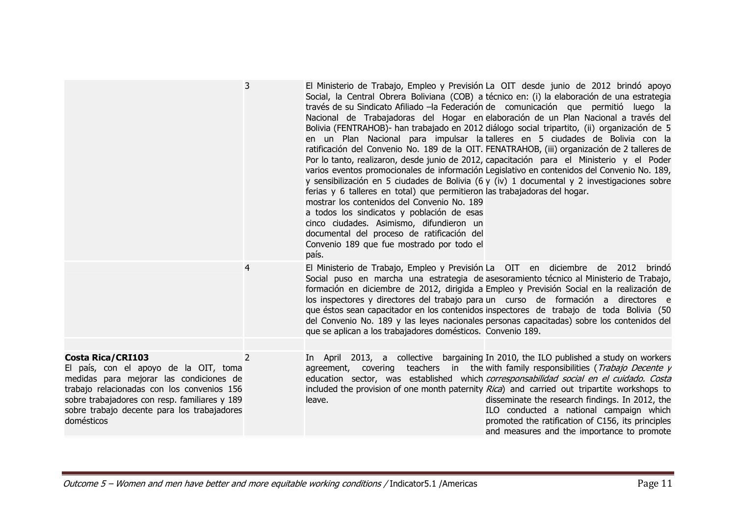|                                                                                                                                                                                                     | 3              | ferias y 6 talleres en total) que permitieron las trabajadoras del hogar.<br>mostrar los contenidos del Convenio No. 189<br>a todos los sindicatos y población de esas<br>cinco ciudades. Asimismo, difundieron un<br>documental del proceso de ratificación del<br>Convenio 189 que fue mostrado por todo el<br>país. | El Ministerio de Trabajo, Empleo y Previsión La OIT desde junio de 2012 brindó apoyo<br>Social, la Central Obrera Boliviana (COB) a técnico en: (i) la elaboración de una estrategia<br>través de su Sindicato Afiliado -la Federación de comunicación que permitió luego la<br>Nacional de Trabajadoras del Hogar en elaboración de un Plan Nacional a través del<br>Bolivia (FENTRAHOB)- han trabajado en 2012 diálogo social tripartito, (ii) organización de 5<br>en un Plan Nacional para impulsar latalleres en 5 ciudades de Bolivia con la<br>ratificación del Convenio No. 189 de la OIT. FENATRAHOB, (iii) organización de 2 talleres de<br>Por lo tanto, realizaron, desde junio de 2012, capacitación para el Ministerio y el Poder<br>varios eventos promocionales de información Legislativo en contenidos del Convenio No. 189,<br>y sensibilización en 5 ciudades de Bolivia (6 y (iv) 1 documental y 2 investigaciones sobre |
|-----------------------------------------------------------------------------------------------------------------------------------------------------------------------------------------------------|----------------|------------------------------------------------------------------------------------------------------------------------------------------------------------------------------------------------------------------------------------------------------------------------------------------------------------------------|-----------------------------------------------------------------------------------------------------------------------------------------------------------------------------------------------------------------------------------------------------------------------------------------------------------------------------------------------------------------------------------------------------------------------------------------------------------------------------------------------------------------------------------------------------------------------------------------------------------------------------------------------------------------------------------------------------------------------------------------------------------------------------------------------------------------------------------------------------------------------------------------------------------------------------------------------|
|                                                                                                                                                                                                     | 4              | El Ministerio de Trabajo, Empleo y Previsión La OIT en diciembre de 2012<br>que se aplican a los trabajadores domésticos. Convenio 189.                                                                                                                                                                                | brindó<br>Social puso en marcha una estrategia de asesoramiento técnico al Ministerio de Trabajo,<br>formación en diciembre de 2012, dirigida a Empleo y Previsión Social en la realización de<br>los inspectores y directores del trabajo para un curso de formación a directores e<br>que éstos sean capacitador en los contenidos inspectores de trabajo de toda Bolivia (50<br>del Convenio No. 189 y las leyes nacionales personas capacitadas) sobre los contenidos del                                                                                                                                                                                                                                                                                                                                                                                                                                                                 |
| <b>Costa Rica/CRI103</b><br>El país, con el apoyo de la OIT, toma                                                                                                                                   | $\overline{2}$ | covering<br>agreement,                                                                                                                                                                                                                                                                                                 | In April 2013, a collective bargaining In 2010, the ILO published a study on workers<br>teachers in the with family responsibilities ( <i>Trabajo Decente y</i>                                                                                                                                                                                                                                                                                                                                                                                                                                                                                                                                                                                                                                                                                                                                                                               |
| medidas para mejorar las condiciones de<br>trabajo relacionadas con los convenios 156<br>sobre trabajadores con resp. familiares y 189<br>sobre trabajo decente para los trabajadores<br>domésticos |                | leave.                                                                                                                                                                                                                                                                                                                 | education sector, was established which corresponsabilidad social en el cuidado. Costa<br>included the provision of one month paternity Rica) and carried out tripartite workshops to<br>disseminate the research findings. In 2012, the<br>ILO conducted a national campaign which<br>promoted the ratification of C156, its principles<br>and measures and the importance to promote                                                                                                                                                                                                                                                                                                                                                                                                                                                                                                                                                        |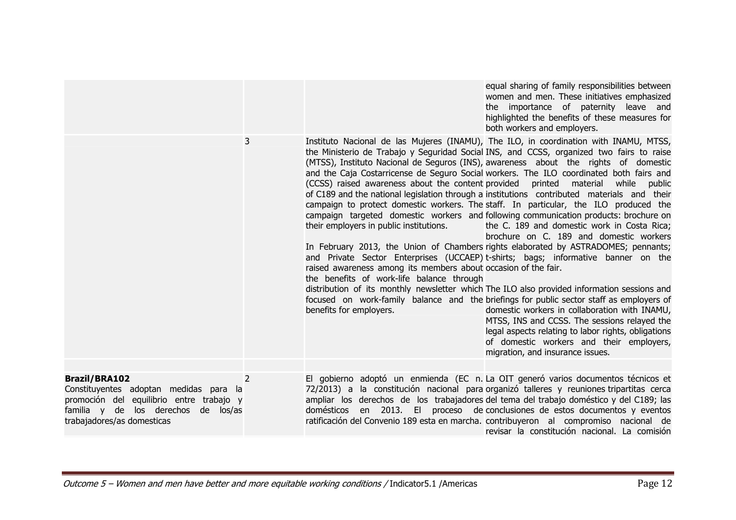|                                                                                                                                                                                 |                |                                                                                                                                                                                                                                         | equal sharing of family responsibilities between<br>women and men. These initiatives emphasized<br>the importance of paternity leave and<br>highlighted the benefits of these measures for<br>both workers and employers.                                                                                                                                                                                                                                                                                                                                                                                                                                                                                                                                                                                                                                                                                                                                                                                                                                                                                                                                                                                                                                                                                                                                                                            |
|---------------------------------------------------------------------------------------------------------------------------------------------------------------------------------|----------------|-----------------------------------------------------------------------------------------------------------------------------------------------------------------------------------------------------------------------------------------|------------------------------------------------------------------------------------------------------------------------------------------------------------------------------------------------------------------------------------------------------------------------------------------------------------------------------------------------------------------------------------------------------------------------------------------------------------------------------------------------------------------------------------------------------------------------------------------------------------------------------------------------------------------------------------------------------------------------------------------------------------------------------------------------------------------------------------------------------------------------------------------------------------------------------------------------------------------------------------------------------------------------------------------------------------------------------------------------------------------------------------------------------------------------------------------------------------------------------------------------------------------------------------------------------------------------------------------------------------------------------------------------------|
|                                                                                                                                                                                 | 3              | (CCSS) raised awareness about the content provided<br>their employers in public institutions.<br>raised awareness among its members about occasion of the fair.<br>the benefits of work-life balance through<br>benefits for employers. | Instituto Nacional de las Mujeres (INAMU), The ILO, in coordination with INAMU, MTSS,<br>the Ministerio de Trabajo y Seguridad Social INS, and CCSS, organized two fairs to raise<br>(MTSS), Instituto Nacional de Seguros (INS), awareness about the rights of domestic<br>and the Caja Costarricense de Seguro Social workers. The ILO coordinated both fairs and<br>printed<br>material<br>while<br>public<br>of C189 and the national legislation through a institutions contributed materials and their<br>campaign to protect domestic workers. The staff. In particular, the ILO produced the<br>campaign targeted domestic workers and following communication products: brochure on<br>the C. 189 and domestic work in Costa Rica;<br>brochure on C. 189 and domestic workers<br>In February 2013, the Union of Chambers rights elaborated by ASTRADOMES; pennants;<br>and Private Sector Enterprises (UCCAEP) t-shirts; bags; informative banner on the<br>distribution of its monthly newsletter which The ILO also provided information sessions and<br>focused on work-family balance and the briefings for public sector staff as employers of<br>domestic workers in collaboration with INAMU,<br>MTSS, INS and CCSS. The sessions relayed the<br>legal aspects relating to labor rights, obligations<br>of domestic workers and their employers,<br>migration, and insurance issues. |
| <b>Brazil/BRA102</b><br>Constituyentes adoptan medidas para la<br>promoción del equilibrio entre trabajo y<br>familia y de los derechos de los/as<br>trabajadores/as domesticas | $\overline{2}$ |                                                                                                                                                                                                                                         | El gobierno adoptó un enmienda (EC n. La OIT generó varios documentos técnicos et<br>72/2013) a la constitución nacional para organizó talleres y reuniones tripartitas cerca<br>ampliar los derechos de los trabajadores del tema del trabajo doméstico y del C189; las<br>domésticos en 2013. El proceso de conclusiones de estos documentos y eventos<br>ratificación del Convenio 189 esta en marcha. contribuyeron al compromiso nacional de<br>revisar la constitución nacional. La comisión                                                                                                                                                                                                                                                                                                                                                                                                                                                                                                                                                                                                                                                                                                                                                                                                                                                                                                   |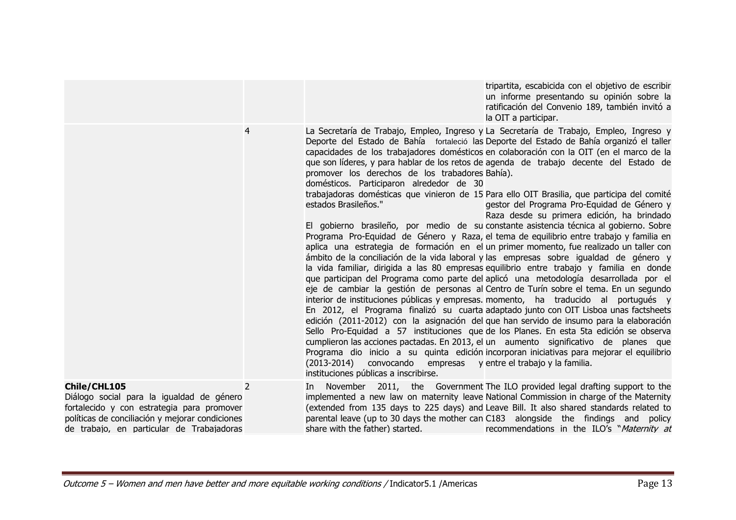|                                                                                                                                                                                                         |                | tripartita, escabicida con el objetivo de escribir<br>un informe presentando su opinión sobre la<br>ratificación del Convenio 189, también invitó a<br>la OIT a participar.                                                                                                                                                                                                                                                                                                                                                                                                                                                                                                                                                                                                                                                                                                                                                                                                                                                                                                                                                                                                                                                                                                                                                                                                                                                                                                                                                                                                                                                                                                                                                                                                                                                                                                                                                                                                                                                         |
|---------------------------------------------------------------------------------------------------------------------------------------------------------------------------------------------------------|----------------|-------------------------------------------------------------------------------------------------------------------------------------------------------------------------------------------------------------------------------------------------------------------------------------------------------------------------------------------------------------------------------------------------------------------------------------------------------------------------------------------------------------------------------------------------------------------------------------------------------------------------------------------------------------------------------------------------------------------------------------------------------------------------------------------------------------------------------------------------------------------------------------------------------------------------------------------------------------------------------------------------------------------------------------------------------------------------------------------------------------------------------------------------------------------------------------------------------------------------------------------------------------------------------------------------------------------------------------------------------------------------------------------------------------------------------------------------------------------------------------------------------------------------------------------------------------------------------------------------------------------------------------------------------------------------------------------------------------------------------------------------------------------------------------------------------------------------------------------------------------------------------------------------------------------------------------------------------------------------------------------------------------------------------------|
|                                                                                                                                                                                                         | 4              | La Secretaría de Trabajo, Empleo, Ingreso y La Secretaría de Trabajo, Empleo, Ingreso y<br>Deporte del Estado de Bahía fortaleció las Deporte del Estado de Bahía organizó el taller<br>capacidades de los trabajadores domésticos en colaboración con la OIT (en el marco de la<br>que son líderes, y para hablar de los retos de agenda de trabajo decente del Estado de<br>promover los derechos de los trabadores Bahía).<br>domésticos. Participaron alrededor de 30<br>trabajadoras domésticas que vinieron de 15 Para ello OIT Brasilia, que participa del comité<br>estados Brasileños."<br>gestor del Programa Pro-Equidad de Género y<br>Raza desde su primera edición, ha brindado<br>El gobierno brasileño, por medio de su constante asistencia técnica al gobierno. Sobre<br>Programa Pro-Equidad de Género y Raza, el tema de equilibrio entre trabajo y familia en<br>aplica una estrategia de formación en el un primer momento, fue realizado un taller con<br>ámbito de la conciliación de la vida laboral y las empresas sobre igualdad de género y<br>la vida familiar, dirigida a las 80 empresas equilibrio entre trabajo y familia en donde<br>que participan del Programa como parte del aplicó una metodología desarrollada por el<br>eje de cambiar la gestión de personas al Centro de Turín sobre el tema. En un segundo<br>interior de instituciones públicas y empresas. momento, ha traducido al portugués y<br>En 2012, el Programa finalizó su cuarta adaptado junto con OIT Lisboa unas factsheets<br>edición (2011-2012) con la asignación del que han servido de insumo para la elaboración<br>Sello Pro-Equidad a 57 instituciones que de los Planes. En esta 5ta edición se observa<br>cumplieron las acciones pactadas. En 2013, el un aumento significativo de planes que<br>Programa dio inicio a su quinta edición incorporan iniciativas para mejorar el equilibrio<br>convocando empresas y entre el trabajo y la familia.<br>$(2013 - 2014)$<br>instituciones públicas a inscribirse. |
| Chile/CHL105<br>Diálogo social para la igualdad de género<br>fortalecido y con estrategia para promover<br>políticas de conciliación y mejorar condiciones<br>de trabajo, en particular de Trabajadoras | $\overline{2}$ | November 2011, the Government The ILO provided legal drafting support to the<br>In.<br>implemented a new law on maternity leave National Commission in charge of the Maternity<br>(extended from 135 days to 225 days) and Leave Bill. It also shared standards related to<br>parental leave (up to 30 days the mother can C183 alongside the findings and policy<br>share with the father) started.<br>recommendations in the ILO's "Maternity at                                                                                                                                                                                                                                                                                                                                                                                                                                                                                                                                                                                                                                                                                                                                                                                                                                                                                                                                                                                                                                                                                                                                                                                                                                                                                                                                                                                                                                                                                                                                                                                  |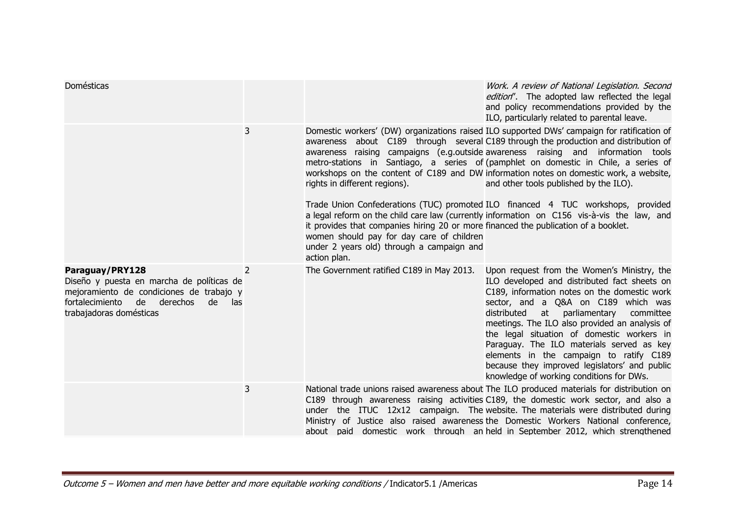| Domésticas                                                                                                                                                                         |                |                                                                                                                                                                                               | Work. A review of National Legislation. Second<br>edition". The adopted law reflected the legal<br>and policy recommendations provided by the<br>ILO, particularly related to parental leave.                                                                                                                                                                                                                                                                                                                           |
|------------------------------------------------------------------------------------------------------------------------------------------------------------------------------------|----------------|-----------------------------------------------------------------------------------------------------------------------------------------------------------------------------------------------|-------------------------------------------------------------------------------------------------------------------------------------------------------------------------------------------------------------------------------------------------------------------------------------------------------------------------------------------------------------------------------------------------------------------------------------------------------------------------------------------------------------------------|
|                                                                                                                                                                                    | 3              | rights in different regions).                                                                                                                                                                 | Domestic workers' (DW) organizations raised ILO supported DWs' campaign for ratification of<br>awareness about C189 through several C189 through the production and distribution of<br>awareness raising campaigns (e.g.outside awareness raising and information tools<br>metro-stations in Santiago, a series of (pamphlet on domestic in Chile, a series of<br>workshops on the content of C189 and DW information notes on domestic work, a website,<br>and other tools published by the ILO).                      |
|                                                                                                                                                                                    |                | it provides that companies hiring 20 or more financed the publication of a booklet.<br>women should pay for day care of children<br>under 2 years old) through a campaign and<br>action plan. | Trade Union Confederations (TUC) promoted ILO financed 4 TUC workshops, provided<br>a legal reform on the child care law (currently information on C156 vis-à-vis the law, and                                                                                                                                                                                                                                                                                                                                          |
| Paraguay/PRY128<br>Diseño y puesta en marcha de políticas de<br>mejoramiento de condiciones de trabajo y<br>fortalecimiento<br>de derechos<br>de<br>las<br>trabajadoras domésticas | $\overline{2}$ | The Government ratified C189 in May 2013.                                                                                                                                                     | Upon request from the Women's Ministry, the<br>ILO developed and distributed fact sheets on<br>C189, information notes on the domestic work<br>sector, and a Q&A on C189 which was<br>distributed<br>at parliamentary<br>committee<br>meetings. The ILO also provided an analysis of<br>the legal situation of domestic workers in<br>Paraguay. The ILO materials served as key<br>elements in the campaign to ratify C189<br>because they improved legislators' and public<br>knowledge of working conditions for DWs. |
|                                                                                                                                                                                    | 3              |                                                                                                                                                                                               | National trade unions raised awareness about The ILO produced materials for distribution on<br>C189 through awareness raising activities C189, the domestic work sector, and also a<br>under the ITUC 12x12 campaign. The website. The materials were distributed during<br>Ministry of Justice also raised awareness the Domestic Workers National conference,<br>about paid domestic work through an held in September 2012, which strengthened                                                                       |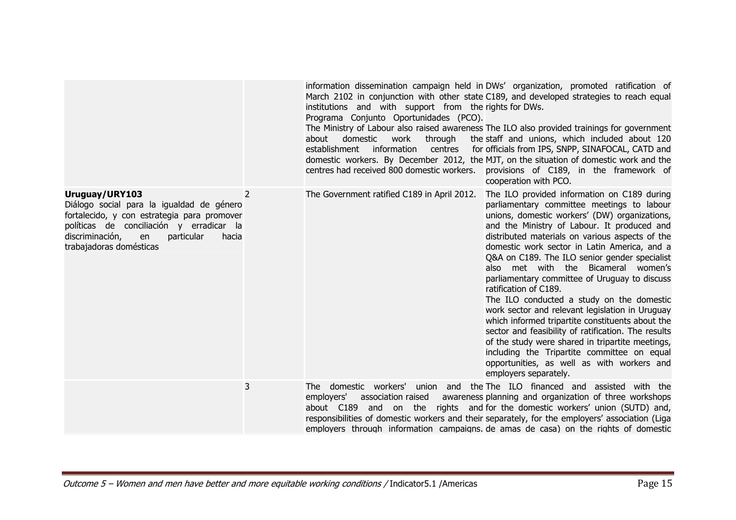|                                                                                                                                                                                                                                   |   | institutions and with support from the rights for DWs.<br>Programa Conjunto Oportunidades (PCO).<br>about<br>domestic<br>work<br>through<br>establishment information centres<br>centres had received 800 domestic workers. | information dissemination campaign held in DWs' organization, promoted ratification of<br>March 2102 in conjunction with other state C189, and developed strategies to reach equal<br>The Ministry of Labour also raised awareness The ILO also provided trainings for government<br>the staff and unions, which included about 120<br>for officials from IPS, SNPP, SINAFOCAL, CATD and<br>domestic workers. By December 2012, the MJT, on the situation of domestic work and the<br>provisions of C189, in the framework of<br>cooperation with PCO.                                                                                                                                                                                                                                                                                              |
|-----------------------------------------------------------------------------------------------------------------------------------------------------------------------------------------------------------------------------------|---|-----------------------------------------------------------------------------------------------------------------------------------------------------------------------------------------------------------------------------|-----------------------------------------------------------------------------------------------------------------------------------------------------------------------------------------------------------------------------------------------------------------------------------------------------------------------------------------------------------------------------------------------------------------------------------------------------------------------------------------------------------------------------------------------------------------------------------------------------------------------------------------------------------------------------------------------------------------------------------------------------------------------------------------------------------------------------------------------------|
| Uruguay/URY103<br>Diálogo social para la igualdad de género<br>fortalecido, y con estrategia para promover<br>políticas de conciliación y erradicar la<br>discriminación,<br>particular<br>en<br>hacia<br>trabajadoras domésticas | 2 | The Government ratified C189 in April 2012.                                                                                                                                                                                 | The ILO provided information on C189 during<br>parliamentary committee meetings to labour<br>unions, domestic workers' (DW) organizations,<br>and the Ministry of Labour. It produced and<br>distributed materials on various aspects of the<br>domestic work sector in Latin America, and a<br>Q&A on C189. The ILO senior gender specialist<br>also met with the Bicameral women's<br>parliamentary committee of Uruguay to discuss<br>ratification of C189.<br>The ILO conducted a study on the domestic<br>work sector and relevant legislation in Uruguay<br>which informed tripartite constituents about the<br>sector and feasibility of ratification. The results<br>of the study were shared in tripartite meetings,<br>including the Tripartite committee on equal<br>opportunities, as well as with workers and<br>employers separately. |
|                                                                                                                                                                                                                                   | 3 | The domestic workers' union and<br>association raised<br>employers'<br>about C189 and on the                                                                                                                                | the The ILO financed and assisted with the<br>awareness planning and organization of three workshops<br>rights and for the domestic workers' union (SUTD) and,<br>responsibilities of domestic workers and their separately, for the employers' association (Liga<br>employers through information campaigns de amas de casa) on the rights of domestic                                                                                                                                                                                                                                                                                                                                                                                                                                                                                             |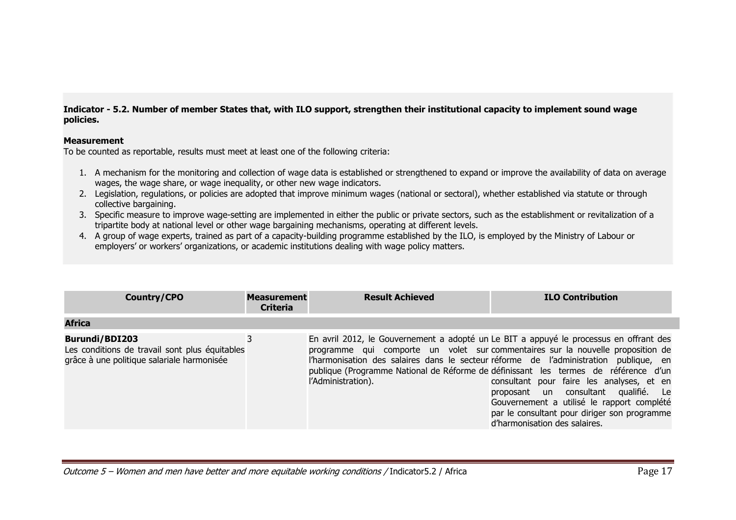**Indicator - 5.2. Number of member States that, with ILO support, strengthen their institutional capacity to implement sound wage policies.** 

#### **Measurement**

To be counted as reportable, results must meet at least one of the following criteria:

- 1. A mechanism for the monitoring and collection of wage data is established or strengthened to expand or improve the availability of data on average wages, the wage share, or wage inequality, or other new wage indicators.
- 2. Legislation, regulations, or policies are adopted that improve minimum wages (national or sectoral), whether established via statute or through collective bargaining.
- 3. Specific measure to improve wage-setting are implemented in either the public or private sectors, such as the establishment or revitalization of a tripartite body at national level or other wage bargaining mechanisms, operating at different levels.
- 4. A group of wage experts, trained as part of a capacity-building programme established by the ILO, is employed by the Ministry of Labour or employers' or workers' organizations, or academic institutions dealing with wage policy matters.

| <b>Country/CPO</b>                                                                                                    | <b>Measurement</b><br><b>Criteria</b> | <b>Result Achieved</b> | <b>ILO Contribution</b>                                                                                                                                                                                                                                                                                                                                                                                                                                                                                                                                                       |
|-----------------------------------------------------------------------------------------------------------------------|---------------------------------------|------------------------|-------------------------------------------------------------------------------------------------------------------------------------------------------------------------------------------------------------------------------------------------------------------------------------------------------------------------------------------------------------------------------------------------------------------------------------------------------------------------------------------------------------------------------------------------------------------------------|
| <b>Africa</b>                                                                                                         |                                       |                        |                                                                                                                                                                                                                                                                                                                                                                                                                                                                                                                                                                               |
| <b>Burundi/BDI203</b><br>Les conditions de travail sont plus équitables<br>grâce à une politique salariale harmonisée | 3                                     | l'Administration).     | En avril 2012, le Gouvernement a adopté un Le BIT a appuyé le processus en offrant des<br>programme qui comporte un volet sur commentaires sur la nouvelle proposition de<br>l'harmonisation des salaires dans le secteur réforme de l'administration publique, en<br>publique (Programme National de Réforme de définissant les termes de référence d'un<br>consultant pour faire les analyses, et en<br>proposant un consultant qualifié. Le<br>Gouvernement a utilisé le rapport complété<br>par le consultant pour diriger son programme<br>d'harmonisation des salaires. |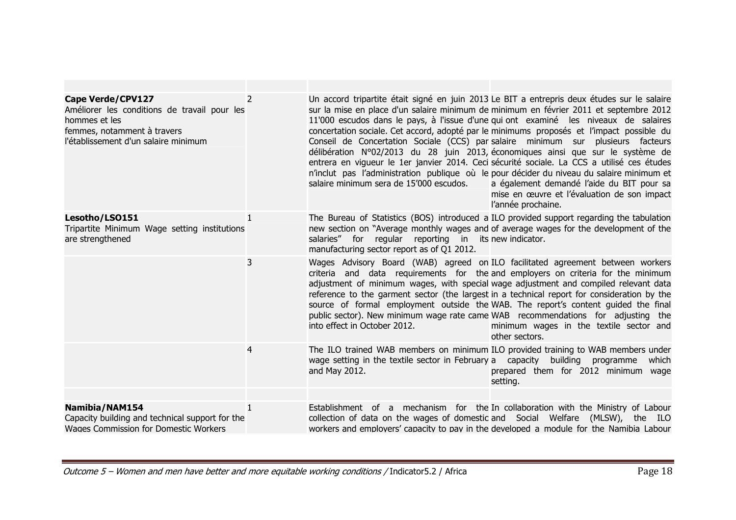| <b>Cape Verde/CPV127</b><br>Améliorer les conditions de travail pour les<br>hommes et les<br>femmes, notamment à travers<br>l'établissement d'un salaire minimum | 2 | Un accord tripartite était signé en juin 2013 Le BIT a entrepris deux études sur le salaire<br>sur la mise en place d'un salaire minimum de minimum en février 2011 et septembre 2012<br>11'000 escudos dans le pays, à l'issue d'une qui ont examiné les niveaux de salaires<br>concertation sociale. Cet accord, adopté par le minimums proposés et l'impact possible du<br>Conseil de Concertation Sociale (CCS) par salaire minimum sur plusieurs facteurs<br>délibération N°02/2013 du 28 juin 2013, économiques ainsi que sur le système de<br>entrera en vigueur le 1er janvier 2014. Ceci sécurité sociale. La CCS a utilisé ces études<br>n'inclut pas l'administration publique où le pour décider du niveau du salaire minimum et<br>a également demandé l'aide du BIT pour sa<br>salaire minimum sera de 15'000 escudos.<br>mise en œuvre et l'évaluation de son impact<br>l'année prochaine. |
|------------------------------------------------------------------------------------------------------------------------------------------------------------------|---|-----------------------------------------------------------------------------------------------------------------------------------------------------------------------------------------------------------------------------------------------------------------------------------------------------------------------------------------------------------------------------------------------------------------------------------------------------------------------------------------------------------------------------------------------------------------------------------------------------------------------------------------------------------------------------------------------------------------------------------------------------------------------------------------------------------------------------------------------------------------------------------------------------------|
| Lesotho/LSO151<br>Tripartite Minimum Wage setting institutions<br>are strengthened                                                                               | 1 | The Bureau of Statistics (BOS) introduced a ILO provided support regarding the tabulation<br>new section on "Average monthly wages and of average wages for the development of the<br>salaries" for regular reporting in its new indicator.<br>manufacturing sector report as of Q1 2012.                                                                                                                                                                                                                                                                                                                                                                                                                                                                                                                                                                                                                 |
|                                                                                                                                                                  | 3 | Wages Advisory Board (WAB) agreed on ILO facilitated agreement between workers<br>criteria and data requirements for the and employers on criteria for the minimum<br>adjustment of minimum wages, with special wage adjustment and compiled relevant data<br>reference to the garment sector (the largest in a technical report for consideration by the<br>source of formal employment outside the WAB. The report's content guided the final<br>public sector). New minimum wage rate came WAB recommendations for adjusting the<br>into effect in October 2012.<br>minimum wages in the textile sector and<br>other sectors.                                                                                                                                                                                                                                                                          |
|                                                                                                                                                                  | 4 | The ILO trained WAB members on minimum ILO provided training to WAB members under<br>wage setting in the textile sector in February a capacity building<br>programme<br>which<br>prepared them for 2012 minimum wage<br>and May 2012.<br>setting.                                                                                                                                                                                                                                                                                                                                                                                                                                                                                                                                                                                                                                                         |
|                                                                                                                                                                  |   |                                                                                                                                                                                                                                                                                                                                                                                                                                                                                                                                                                                                                                                                                                                                                                                                                                                                                                           |
| Namibia/NAM154<br>Capacity building and technical support for the<br>Wages Commission for Domestic Workers                                                       | 1 | Establishment of a mechanism for the In collaboration with the Ministry of Labour<br>collection of data on the wages of domestic and Social Welfare (MLSW), the ILO<br>workers and employers' capacity to pay in the developed a module for the Namibia Labour                                                                                                                                                                                                                                                                                                                                                                                                                                                                                                                                                                                                                                            |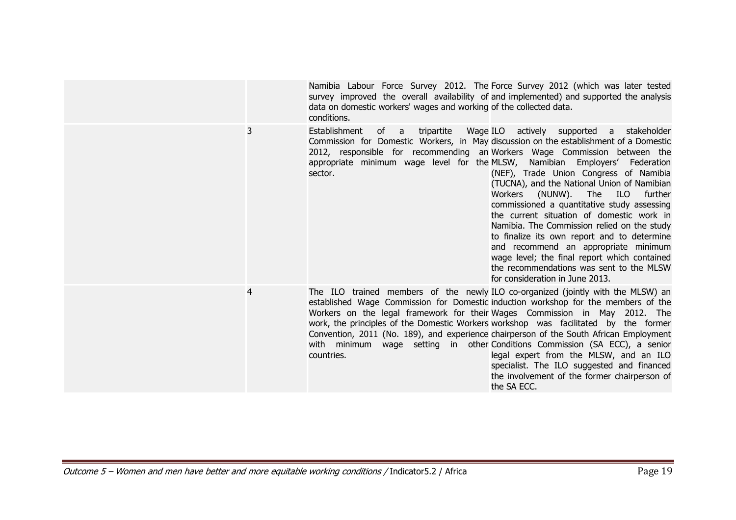|                | data on domestic workers' wages and working of the collected data.<br>conditions. | Namibia Labour Force Survey 2012. The Force Survey 2012 (which was later tested<br>survey improved the overall availability of and implemented) and supported the analysis                                                                                                                                                                                                                                                                                                                                                                                                                                                                                                                                                                                                                                                   |
|----------------|-----------------------------------------------------------------------------------|------------------------------------------------------------------------------------------------------------------------------------------------------------------------------------------------------------------------------------------------------------------------------------------------------------------------------------------------------------------------------------------------------------------------------------------------------------------------------------------------------------------------------------------------------------------------------------------------------------------------------------------------------------------------------------------------------------------------------------------------------------------------------------------------------------------------------|
| 3              | sector.                                                                           | Establishment of a tripartite Wage ILO actively supported a stakeholder<br>Commission for Domestic Workers, in May discussion on the establishment of a Domestic<br>2012, responsible for recommending an Workers Wage Commission between the<br>appropriate minimum wage level for the MLSW, Namibian Employers' Federation<br>(NEF), Trade Union Congress of Namibia<br>(TUCNA), and the National Union of Namibian<br>Workers (NUNW). The ILO<br>further<br>commissioned a quantitative study assessing<br>the current situation of domestic work in<br>Namibia. The Commission relied on the study<br>to finalize its own report and to determine<br>and recommend an appropriate minimum<br>wage level; the final report which contained<br>the recommendations was sent to the MLSW<br>for consideration in June 2013. |
| $\overline{4}$ | countries.                                                                        | The ILO trained members of the newly ILO co-organized (jointly with the MLSW) an<br>established Wage Commission for Domestic induction workshop for the members of the<br>Workers on the legal framework for their Wages Commission in May 2012. The<br>work, the principles of the Domestic Workers workshop was facilitated by the former<br>Convention, 2011 (No. 189), and experience chairperson of the South African Employment<br>with minimum wage setting in other Conditions Commission (SA ECC), a senior<br>legal expert from the MLSW, and an ILO<br>specialist. The ILO suggested and financed<br>the involvement of the former chairperson of<br>the SA ECC.                                                                                                                                                  |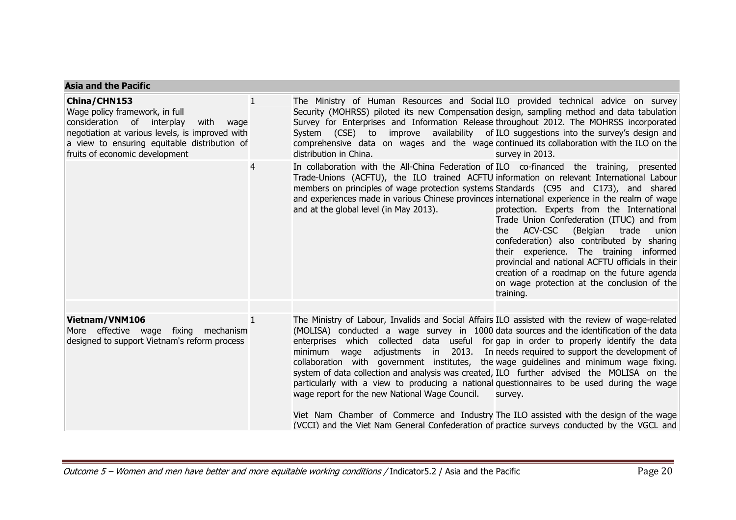| <b>Asia and the Pacific</b>                                                                                                                                                                                                       |              |                                                                                                                                                                                                                                                                                                                                                                                                                                                                                                                                                                                                                                                                                                                                                                                                                                  |  |
|-----------------------------------------------------------------------------------------------------------------------------------------------------------------------------------------------------------------------------------|--------------|----------------------------------------------------------------------------------------------------------------------------------------------------------------------------------------------------------------------------------------------------------------------------------------------------------------------------------------------------------------------------------------------------------------------------------------------------------------------------------------------------------------------------------------------------------------------------------------------------------------------------------------------------------------------------------------------------------------------------------------------------------------------------------------------------------------------------------|--|
| China/CHN153<br>Wage policy framework, in full<br>consideration of interplay<br>with<br>wage<br>negotiation at various levels, is improved with<br>a view to ensuring equitable distribution of<br>fruits of economic development | $\mathbf{1}$ | The Ministry of Human Resources and Social ILO provided technical advice on survey<br>Security (MOHRSS) piloted its new Compensation design, sampling method and data tabulation<br>Survey for Enterprises and Information Release throughout 2012. The MOHRSS incorporated<br>System (CSE) to improve availability of ILO suggestions into the survey's design and<br>comprehensive data on wages and the wage continued its collaboration with the ILO on the<br>distribution in China.<br>survey in 2013.                                                                                                                                                                                                                                                                                                                     |  |
|                                                                                                                                                                                                                                   | 4            | In collaboration with the All-China Federation of ILO co-financed the training,<br>presented<br>Trade-Unions (ACFTU), the ILO trained ACFTU information on relevant International Labour<br>members on principles of wage protection systems Standards (C95 and C173), and shared<br>and experiences made in various Chinese provinces international experience in the realm of wage<br>and at the global level (in May 2013).<br>protection. Experts from the International<br>Trade Union Confederation (ITUC) and from<br>ACV-CSC<br>(Belgian<br>trade<br>the<br>union<br>confederation) also contributed by sharing<br>their experience. The training informed<br>provincial and national ACFTU officials in their<br>creation of a roadmap on the future agenda<br>on wage protection at the conclusion of the<br>training. |  |
|                                                                                                                                                                                                                                   |              |                                                                                                                                                                                                                                                                                                                                                                                                                                                                                                                                                                                                                                                                                                                                                                                                                                  |  |
| Vietnam/VNM106<br>More effective wage fixing mechanism<br>designed to support Vietnam's reform process                                                                                                                            | $\mathbf{1}$ | The Ministry of Labour, Invalids and Social Affairs ILO assisted with the review of wage-related<br>(MOLISA) conducted a wage survey in 1000 data sources and the identification of the data<br>enterprises which collected data useful for gap in order to properly identify the data<br>adjustments in 2013. In needs required to support the development of<br>minimum wage<br>collaboration with government institutes, the wage guidelines and minimum wage fixing.<br>system of data collection and analysis was created, ILO further advised the MOLISA on the<br>particularly with a view to producing a national questionnaires to be used during the wage<br>wage report for the new National Wage Council.<br>survey.<br>Viet Nam Chamber of Commerce and Industry The ILO assisted with the design of the wage       |  |
|                                                                                                                                                                                                                                   |              | (VCCI) and the Viet Nam General Confederation of practice surveys conducted by the VGCL and                                                                                                                                                                                                                                                                                                                                                                                                                                                                                                                                                                                                                                                                                                                                      |  |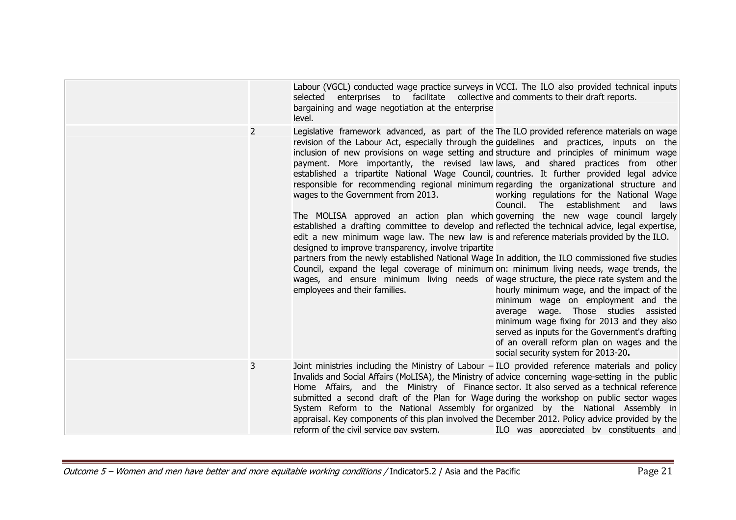|                | Labour (VGCL) conducted wage practice surveys in VCCI. The ILO also provided technical inputs<br>selected enterprises to facilitate collective and comments to their draft reports.<br>bargaining and wage negotiation at the enterprise<br>level.                                                                                                                                                                                                                                                                                                                                                                                                                                                                                                                                                                                                                                                                                                                                                                                                                                                                                                                                                                                                                                                                                                                                                                                                                                                                                                                                                                                                                                           |
|----------------|----------------------------------------------------------------------------------------------------------------------------------------------------------------------------------------------------------------------------------------------------------------------------------------------------------------------------------------------------------------------------------------------------------------------------------------------------------------------------------------------------------------------------------------------------------------------------------------------------------------------------------------------------------------------------------------------------------------------------------------------------------------------------------------------------------------------------------------------------------------------------------------------------------------------------------------------------------------------------------------------------------------------------------------------------------------------------------------------------------------------------------------------------------------------------------------------------------------------------------------------------------------------------------------------------------------------------------------------------------------------------------------------------------------------------------------------------------------------------------------------------------------------------------------------------------------------------------------------------------------------------------------------------------------------------------------------|
| $\overline{2}$ | Legislative framework advanced, as part of the The ILO provided reference materials on wage<br>revision of the Labour Act, especially through the guidelines and practices, inputs on the<br>inclusion of new provisions on wage setting and structure and principles of minimum wage<br>payment. More importantly, the revised law laws, and shared practices from other<br>established a tripartite National Wage Council, countries. It further provided legal advice<br>responsible for recommending regional minimum regarding the organizational structure and<br>wages to the Government from 2013.<br>working regulations for the National Wage<br>Council.<br>The establishment and<br>laws<br>The MOLISA approved an action plan which governing the new wage council largely<br>established a drafting committee to develop and reflected the technical advice, legal expertise,<br>edit a new minimum wage law. The new law is and reference materials provided by the ILO.<br>designed to improve transparency, involve tripartite<br>partners from the newly established National Wage In addition, the ILO commissioned five studies<br>Council, expand the legal coverage of minimum on: minimum living needs, wage trends, the<br>wages, and ensure minimum living needs of wage structure, the piece rate system and the<br>employees and their families.<br>hourly minimum wage, and the impact of the<br>minimum wage on employment and the<br>average wage. Those studies assisted<br>minimum wage fixing for 2013 and they also<br>served as inputs for the Government's drafting<br>of an overall reform plan on wages and the<br>social security system for 2013-20. |
| 3              | Joint ministries including the Ministry of Labour - ILO provided reference materials and policy<br>Invalids and Social Affairs (MoLISA), the Ministry of advice concerning wage-setting in the public<br>Home Affairs, and the Ministry of Finance sector. It also served as a technical reference<br>submitted a second draft of the Plan for Wage during the workshop on public sector wages<br>System Reform to the National Assembly for organized by the National Assembly in<br>appraisal. Key components of this plan involved the December 2012. Policy advice provided by the<br>reform of the civil service pay system.<br>ILO was appreciated by constituents and                                                                                                                                                                                                                                                                                                                                                                                                                                                                                                                                                                                                                                                                                                                                                                                                                                                                                                                                                                                                                 |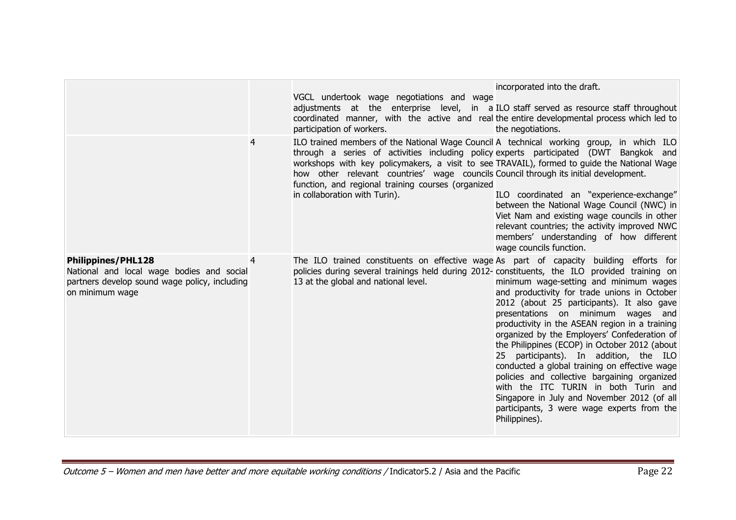|                                                                                                                                            |   | VGCL undertook wage negotiations and wage<br>adjustments at the enterprise level, in a ILO staff served as resource staff throughout<br>coordinated manner, with the active and real the entire developmental process which led to<br>participation of workers.                                                                                                                                                                                                 | incorporated into the draft.<br>the negotiations.                                                                                                                                                                                                                                                                                                                                                                                                                                                                                                                                                                              |
|--------------------------------------------------------------------------------------------------------------------------------------------|---|-----------------------------------------------------------------------------------------------------------------------------------------------------------------------------------------------------------------------------------------------------------------------------------------------------------------------------------------------------------------------------------------------------------------------------------------------------------------|--------------------------------------------------------------------------------------------------------------------------------------------------------------------------------------------------------------------------------------------------------------------------------------------------------------------------------------------------------------------------------------------------------------------------------------------------------------------------------------------------------------------------------------------------------------------------------------------------------------------------------|
|                                                                                                                                            | 4 | ILO trained members of the National Wage Council A technical working group, in which ILO<br>through a series of activities including policy experts participated (DWT Bangkok and<br>workshops with key policymakers, a visit to see TRAVAIL), formed to guide the National Wage<br>how other relevant countries' wage councils Council through its initial development.<br>function, and regional training courses (organized<br>in collaboration with Turin). | ILO coordinated an "experience-exchange"<br>between the National Wage Council (NWC) in<br>Viet Nam and existing wage councils in other<br>relevant countries; the activity improved NWC<br>members' understanding of how different<br>wage councils function.                                                                                                                                                                                                                                                                                                                                                                  |
| <b>Philippines/PHL128</b><br>National and local wage bodies and social<br>partners develop sound wage policy, including<br>on minimum wage | 4 | The ILO trained constituents on effective wage As part of capacity building efforts for<br>policies during several trainings held during 2012-constituents, the ILO provided training on<br>13 at the global and national level.                                                                                                                                                                                                                                | minimum wage-setting and minimum wages<br>and productivity for trade unions in October<br>2012 (about 25 participants). It also gave<br>presentations on minimum wages and<br>productivity in the ASEAN region in a training<br>organized by the Employers' Confederation of<br>the Philippines (ECOP) in October 2012 (about<br>25 participants). In addition, the ILO<br>conducted a global training on effective wage<br>policies and collective bargaining organized<br>with the ITC TURIN in both Turin and<br>Singapore in July and November 2012 (of all<br>participants, 3 were wage experts from the<br>Philippines). |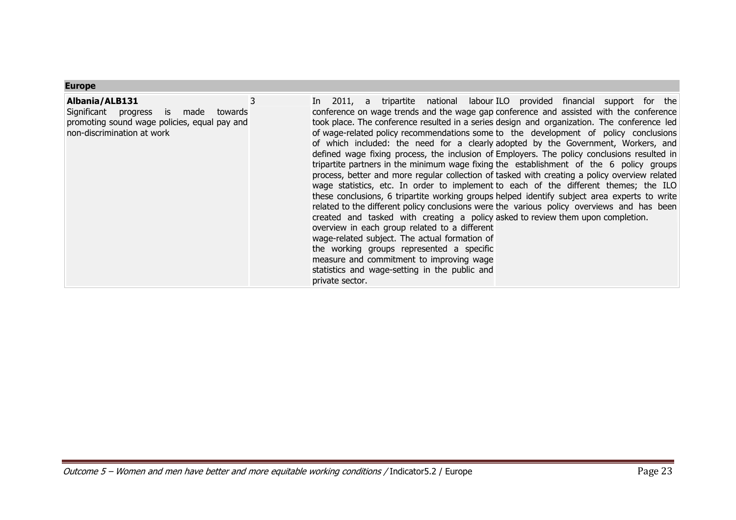# Outcome 5 – Women and men have better and more equitable working conditions / Indicator 5.2 / Europe Page 23 Page 23

**Europe**